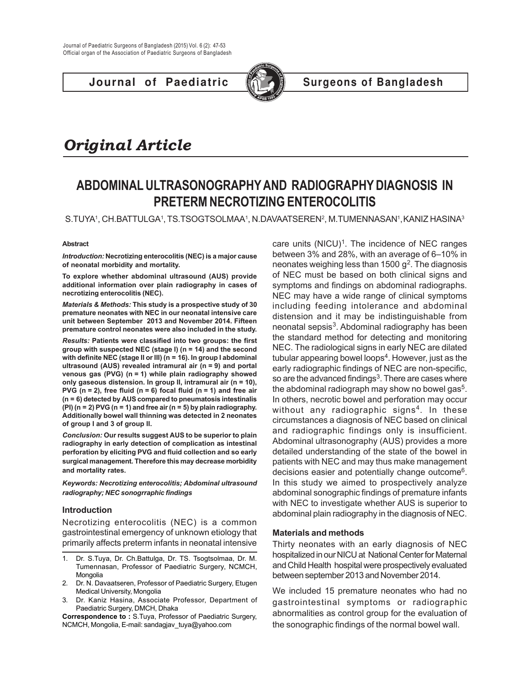**Journal of Paediatric (C)** Surgeons of Bangladesh



# *Original Article*

## **ABDOMINAL ULTRASONOGRAPHY AND RADIOGRAPHY DIAGNOSIS IN PRETERM NECROTIZING ENTEROCOLITIS**

S.TUYA', CH.BATTULGA', TS.TSOGTSOLMAA', N.DAVAATSEREN<sup>2</sup>, M.TUMENNASAN', KANIZ HASINA<sup>3</sup>

#### **Abstract**

*Introduction:* **Necrotizing enterocolitis (NEC) is a major cause of neonatal morbidity and mortality.**

**To explore whether abdominal ultrasound (AUS) provide additional information over plain radiography in cases of necrotizing enterocolitis (NEC).**

*Materials & Methods:* **This study is a prospective study of 30 premature neonates with NEC in our neonatal intensive care unit between September 2013 and November 2014. Fifteen premature control neonates were also included in the study.**

*Results:* **Patients were classified into two groups: the first group with suspected NEC (stage I) (n = 14) and the second with definite NEC (stage II or III) (n = 16). In group I abdominal ultrasound (AUS) revealed intramural air (n = 9) and portal venous gas (PVG) (n = 1) while plain radiography showed only gaseous distension. In group II, intramural air (n = 10), PVG (n = 2), free fluid (n = 6) focal fluid (n = 1) and free air (n = 6) detected by AUS compared to pneumatosis intestinalis (PI) (n = 2) PVG (n = 1) and free air (n = 5) by plain radiography. Additionally bowel wall thinning was detected in 2 neonates of group I and 3 of group II.**

*Conclusion:* **Our results suggest AUS to be superior to plain radiography in early detection of complication as intestinal perforation by eliciting PVG and fluid collection and so early surgical management. Therefore this may decrease morbidity and mortality rates.**

*Keywords: Necrotizing enterocolitis; Abdominal ultrasound radiography; NEC sonogrraphic findings*

#### **Introduction**

Necrotizing enterocolitis (NEC) is a common gastrointestinal emergency of unknown etiology that primarily affects preterm infants in neonatal intensive

- 1. Dr. S.Tuya, Dr. Ch.Battulga, Dr. TS. Tsogtsolmaa, Dr. M. Tumennasan, Professor of Paediatric Surgery, NCMCH, **Mongolia**
- 2. Dr. N. Davaatseren, Professor of Paediatric Surgery, Etugen Medical University, Mongolia
- 3. Dr. Kaniz Hasina, Associate Professor, Department of Paediatric Surgery, DMCH, Dhaka

**Correspondence to :** S.Tuya, Professor of Paediatric Surgery, NCMCH, Mongolia, E-mail: sandagjav\_tuya@yahoo.com

care units  $(NICU)^1$ . The incidence of NEC ranges between 3% and 28%, with an average of 6–10% in neonates weighing less than 1500  $g^2$ . The diagnosis of NEC must be based on both clinical signs and symptoms and findings on abdominal radiographs. NEC may have a wide range of clinical symptoms including feeding intolerance and abdominal distension and it may be indistinguishable from neonatal sepsis<sup>3</sup>. Abdominal radiography has been the standard method for detecting and monitoring NEC. The radiological signs in early NEC are dilated tubular appearing bowel loops<sup>4</sup>. However, just as the early radiographic findings of NEC are non-specific, so are the advanced findings<sup>3</sup>. There are cases where the abdominal radiograph may show no bowel gas<sup>5</sup>. In others, necrotic bowel and perforation may occur without any radiographic signs<sup>4</sup>. In these circumstances a diagnosis of NEC based on clinical and radiographic findings only is insufficient. Abdominal ultrasonography (AUS) provides a more detailed understanding of the state of the bowel in patients with NEC and may thus make management decisions easier and potentially change outcome<sup>6</sup>. In this study we aimed to prospectively analyze abdominal sonographic findings of premature infants with NEC to investigate whether AUS is superior to abdominal plain radiography in the diagnosis of NEC.

### **Materials and methods**

Thirty neonates with an early diagnosis of NEC hospitalized in our NICU at National Center for Maternal and Child Health hospital were prospectively evaluated between september 2013 and November 2014.

We included 15 premature neonates who had no gastrointestinal symptoms or radiographic abnormalities as control group for the evaluation of the sonographic findings of the normal bowel wall.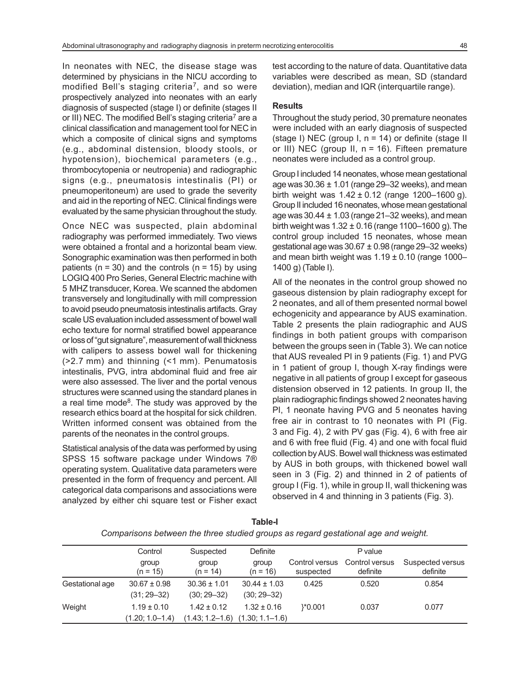In neonates with NEC, the disease stage was determined by physicians in the NICU according to modified Bell's staging criteria<sup>7</sup>, and so were prospectively analyzed into neonates with an early diagnosis of suspected (stage I) or definite (stages II or III) NEC. The modified Bell's staging criteria<sup>7</sup> are a clinical classification and management tool for NEC in which a composite of clinical signs and symptoms (e.g., abdominal distension, bloody stools, or hypotension), biochemical parameters (e.g., thrombocytopenia or neutropenia) and radiographic signs (e.g., pneumatosis intestinalis (PI) or pneumoperitoneum) are used to grade the severity and aid in the reporting of NEC. Clinical findings were evaluated by the same physician throughout the study.

Once NEC was suspected, plain abdominal radiography was performed immediately. Two views were obtained a frontal and a horizontal beam view. Sonographic examination was then performed in both patients ( $n = 30$ ) and the controls ( $n = 15$ ) by using LOGIQ 400 Pro Series, General Electric machine with 5 MHZ transducer, Korea. We scanned the abdomen transversely and longitudinally with mill compression to avoid pseudo pneumatosis intestinalis artifacts. Gray scale US evaluation included assessment of bowel wall echo texture for normal stratified bowel appearance or loss of "gut signature", measurement of wall thickness with calipers to assess bowel wall for thickening (>2.7 mm) and thinning (<1 mm). Penumatosis intestinalis, PVG, intra abdominal fluid and free air were also assessed. The liver and the portal venous structures were scanned using the standard planes in a real time mode<sup>8</sup>. The study was approved by the research ethics board at the hospital for sick children. Written informed consent was obtained from the parents of the neonates in the control groups.

Statistical analysis of the data was performed by using SPSS 15 software package under Windows 7® operating system. Qualitative data parameters were presented in the form of frequency and percent. All categorical data comparisons and associations were analyzed by either chi square test or Fisher exact test according to the nature of data. Quantitative data variables were described as mean, SD (standard deviation), median and IQR (interquartile range).

#### **Results**

Throughout the study period, 30 premature neonates were included with an early diagnosis of suspected (stage I) NEC (group I, n = 14) or definite (stage II or III) NEC (group II,  $n = 16$ ). Fifteen premature neonates were included as a control group.

Group I included 14 neonates, whose mean gestational age was  $30.36 \pm 1.01$  (range 29-32 weeks), and mean birth weight was  $1.42 \pm 0.12$  (range 1200–1600 g). Group II included 16 neonates, whose mean gestational age was  $30.44 \pm 1.03$  (range  $21-32$  weeks), and mean birth weight was  $1.32 \pm 0.16$  (range 1100–1600 g). The control group included 15 neonates, whose mean gestational age was 30.67 ± 0.98 (range 29–32 weeks) and mean birth weight was  $1.19 \pm 0.10$  (range 1000– 1400 g) (Table I).

All of the neonates in the control group showed no gaseous distension by plain radiography except for 2 neonates, and all of them presented normal bowel echogenicity and appearance by AUS examination. Table 2 presents the plain radiographic and AUS findings in both patient groups with comparison between the groups seen in (Table 3). We can notice that AUS revealed PI in 9 patients (Fig. 1) and PVG in 1 patient of group I, though X-ray findings were negative in all patients of group I except for gaseous distension observed in 12 patients. In group II, the plain radiographic findings showed 2 neonates having PI, 1 neonate having PVG and 5 neonates having free air in contrast to 10 neonates with PI (Fig. 3 and Fig. 4), 2 with PV gas (Fig. 4), 6 with free air and 6 with free fluid (Fig. 4) and one with focal fluid collection by AUS. Bowel wall thickness was estimated by AUS in both groups, with thickened bowel wall seen in 3 (Fig. 2) and thinned in 2 of patients of group I (Fig. 1), while in group II, wall thickening was observed in 4 and thinning in 3 patients (Fig. 3).

|                 | Control                                | Suspected                           | Definite                                               |                             | P value                    |                              |
|-----------------|----------------------------------------|-------------------------------------|--------------------------------------------------------|-----------------------------|----------------------------|------------------------------|
|                 | group<br>$(n = 15)$                    | group<br>$(n = 14)$                 | group<br>$(n = 16)$                                    | Control versus<br>suspected | Control versus<br>definite | Suspected versus<br>definite |
| Gestational age | $30.67 \pm 0.98$<br>$(31; 29 - 32)$    | $30.36 \pm 1.01$<br>$(30; 29 - 32)$ | $30.44 \pm 1.03$<br>$(30; 29 - 32)$                    | 0.425                       | 0.520                      | 0.854                        |
| Weight          | $1.19 \pm 0.10$<br>$(1.20; 1.0 - 1.4)$ | $1.42 \pm 0.12$                     | $1.32 \pm 0.16$<br>$(1.43; 1.2-1.6)$ $(1.30; 1.1-1.6)$ | $\frac{1}{6}$ 0.001         | 0.037                      | 0.077                        |

**Table-I** *Comparisons between the three studied groups as regard gestational age and weight.*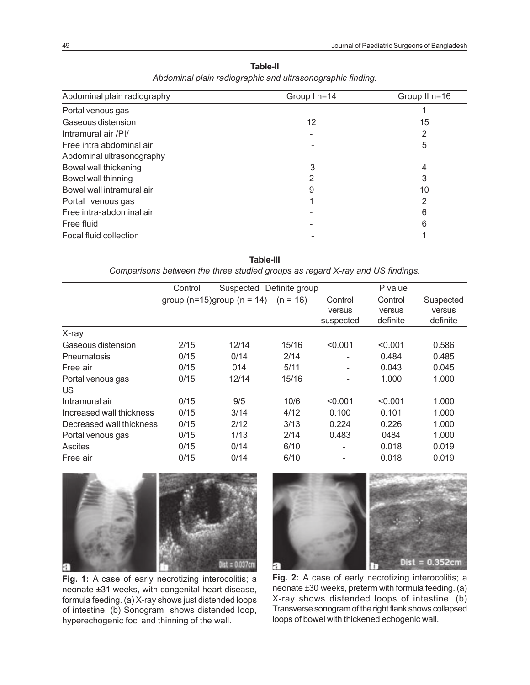| Abdominal plain radiography | Group I n=14 | Group II n=16 |  |
|-----------------------------|--------------|---------------|--|
| Portal venous gas           |              |               |  |
| Gaseous distension          | 12           | 15            |  |
| Intramural air /PI/         |              | 2             |  |
| Free intra abdominal air    |              | 5             |  |
| Abdominal ultrasonography   |              |               |  |
| Bowel wall thickening       | 3            | 4             |  |
| Bowel wall thinning         | 2            |               |  |
| Bowel wall intramural air   | 9            | 10            |  |
| Portal venous gas           |              | ົ             |  |
| Free intra-abdominal air    |              | 6             |  |
| Free fluid                  |              | 6             |  |
| Focal fluid collection      |              |               |  |

**Table-II** *Abdominal plain radiographic and ultrasonographic finding.*

**Table-III** *Comparisons between the three studied groups as regard X-ray and US findings.*

|                          | Control | Suspected Definite group         |            |           | P value  |           |
|--------------------------|---------|----------------------------------|------------|-----------|----------|-----------|
|                          |         | group ( $n=15$ )group ( $n=14$ ) | $(n = 16)$ | Control   | Control  | Suspected |
|                          |         |                                  |            | versus    | versus   | versus    |
|                          |         |                                  |            | suspected | definite | definite  |
| X-ray                    |         |                                  |            |           |          |           |
| Gaseous distension       | 2/15    | 12/14                            | 15/16      | < 0.001   | < 0.001  | 0.586     |
| <b>Pneumatosis</b>       | 0/15    | 0/14                             | 2/14       |           | 0.484    | 0.485     |
| Free air                 | 0/15    | 014                              | 5/11       |           | 0.043    | 0.045     |
| Portal venous gas        | 0/15    | 12/14                            | 15/16      |           | 1.000    | 1.000     |
| US                       |         |                                  |            |           |          |           |
| Intramural air           | 0/15    | 9/5                              | 10/6       | < 0.001   | < 0.001  | 1.000     |
| Increased wall thickness | 0/15    | 3/14                             | 4/12       | 0.100     | 0.101    | 1.000     |
| Decreased wall thickness | 0/15    | 2/12                             | 3/13       | 0.224     | 0.226    | 1.000     |
| Portal venous gas        | 0/15    | 1/13                             | 2/14       | 0.483     | 0484     | 1.000     |
| <b>Ascites</b>           | 0/15    | 0/14                             | 6/10       | -         | 0.018    | 0.019     |
| Free air                 | 0/15    | 0/14                             | 6/10       |           | 0.018    | 0.019     |



 $Dist = 0.352cm$ R

Fig. 1: A case of early necrotizing interocolitis; a neonate ±31 weeks, with congenital heart disease, formula feeding. (a) X-ray shows just distended loops of intestine. (b) Sonogram shows distended loop, hyperechogenic foci and thinning of the wall.

Fig. 2: A case of early necrotizing interocolitis; a neonate ±30 weeks, preterm with formula feeding. (a) X-ray shows distended loops of intestine. (b) Transverse sonogram of the right flank shows collapsed loops of bowel with thickened echogenic wall.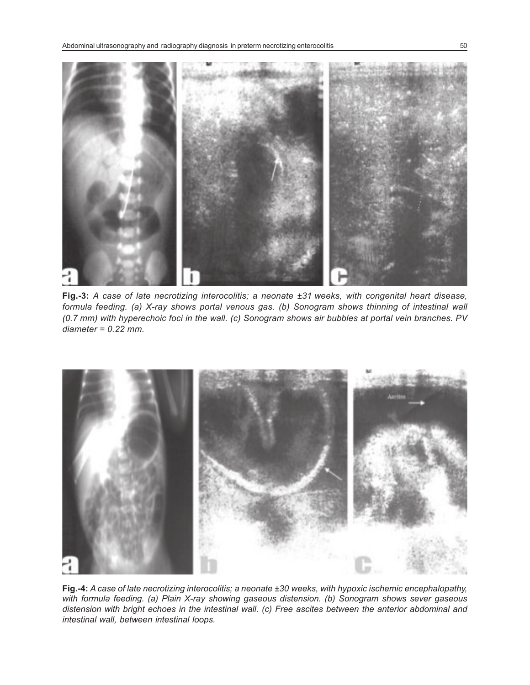

**Fig.-3:** *A case of late necrotizing interocolitis; a neonate ±31 weeks, with congenital heart disease, formula feeding. (a) X-ray shows portal venous gas. (b) Sonogram shows thinning of intestinal wall (0.7 mm) with hyperechoic foci in the wall. (c) Sonogram shows air bubbles at portal vein branches. PV diameter = 0.22 mm.*



**Fig.-4:** *A case of late necrotizing interocolitis; a neonate ±30 weeks, with hypoxic ischemic encephalopathy, with formula feeding. (a) Plain X-ray showing gaseous distension. (b) Sonogram shows sever gaseous distension with bright echoes in the intestinal wall. (c) Free ascites between the anterior abdominal and intestinal wall, between intestinal loops.*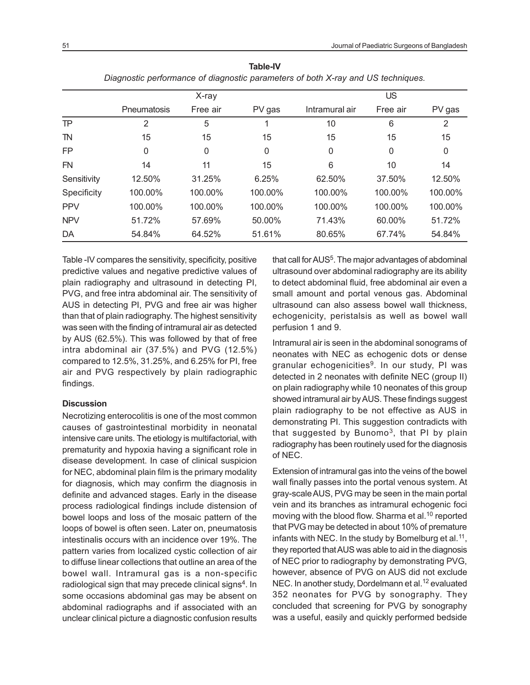| - agus sas peut-mantes en angliceais parameters en a san criaj anales is sinapas en |              |          |              |                |          |         |  |
|-------------------------------------------------------------------------------------|--------------|----------|--------------|----------------|----------|---------|--|
|                                                                                     | X-ray        |          |              | <b>US</b>      |          |         |  |
|                                                                                     | Pneumatosis  | Free air | PV gas       | Intramural air | Free air | PV gas  |  |
| <b>TP</b>                                                                           | 2            | 5        |              | 10             | 6        | 2       |  |
| <b>TN</b>                                                                           | 15           | 15       | 15           | 15             | 15       | 15      |  |
| <b>FP</b>                                                                           | $\mathbf{0}$ | 0        | $\mathbf{0}$ | 0              | $\Omega$ | 0       |  |
| <b>FN</b>                                                                           | 14           | 11       | 15           | 6              | 10       | 14      |  |
| Sensitivity                                                                         | 12.50%       | 31.25%   | 6.25%        | 62.50%         | 37.50%   | 12.50%  |  |
| Specificity                                                                         | 100.00%      | 100.00%  | 100.00%      | 100.00%        | 100.00%  | 100.00% |  |
| <b>PPV</b>                                                                          | 100.00%      | 100.00%  | 100.00%      | 100.00%        | 100.00%  | 100.00% |  |
| <b>NPV</b>                                                                          | 51.72%       | 57.69%   | 50.00%       | 71.43%         | 60.00%   | 51.72%  |  |
| DA                                                                                  | 54.84%       | 64.52%   | 51.61%       | 80.65%         | 67.74%   | 54.84%  |  |

**Table-IV** *Diagnostic performance of diagnostic parameters of both X-ray and US techniques.*

Table -IV compares the sensitivity, specificity, positive predictive values and negative predictive values of plain radiography and ultrasound in detecting PI, PVG, and free intra abdominal air. The sensitivity of AUS in detecting PI, PVG and free air was higher than that of plain radiography. The highest sensitivity was seen with the finding of intramural air as detected by AUS (62.5%). This was followed by that of free intra abdominal air (37.5%) and PVG (12.5%) compared to 12.5%, 31.25%, and 6.25% for PI, free air and PVG respectively by plain radiographic findings.

#### **Discussion**

Necrotizing enterocolitis is one of the most common causes of gastrointestinal morbidity in neonatal intensive care units. The etiology is multifactorial, with prematurity and hypoxia having a significant role in disease development. In case of clinical suspicion for NEC, abdominal plain film is the primary modality for diagnosis, which may confirm the diagnosis in definite and advanced stages. Early in the disease process radiological findings include distension of bowel loops and loss of the mosaic pattern of the loops of bowel is often seen. Later on, pneumatosis intestinalis occurs with an incidence over 19%. The pattern varies from localized cystic collection of air to diffuse linear collections that outline an area of the bowel wall. Intramural gas is a non-specific radiological sign that may precede clinical signs<sup>4</sup>. In some occasions abdominal gas may be absent on abdominal radiographs and if associated with an unclear clinical picture a diagnostic confusion results

that call for AUS<sup>5</sup>. The major advantages of abdominal ultrasound over abdominal radiography are its ability to detect abdominal fluid, free abdominal air even a small amount and portal venous gas. Abdominal ultrasound can also assess bowel wall thickness, echogenicity, peristalsis as well as bowel wall perfusion 1 and 9.

Intramural air is seen in the abdominal sonograms of neonates with NEC as echogenic dots or dense granular echogenicities<sup>9</sup>. In our study, PI was detected in 2 neonates with definite NEC (group II) on plain radiography while 10 neonates of this group showed intramural air by AUS. These findings suggest plain radiography to be not effective as AUS in demonstrating PI. This suggestion contradicts with that suggested by Bunomo<sup>3</sup>, that PI by plain radiography has been routinely used for the diagnosis of NEC.

Extension of intramural gas into the veins of the bowel wall finally passes into the portal venous system. At gray-scale AUS, PVG may be seen in the main portal vein and its branches as intramural echogenic foci moving with the blood flow. Sharma et al.<sup>10</sup> reported that PVG may be detected in about 10% of premature infants with NEC. In the study by Bomelburg et al.<sup>11</sup>, they reported that AUS was able to aid in the diagnosis of NEC prior to radiography by demonstrating PVG, however, absence of PVG on AUS did not exclude NEC. In another study, Dordelmann et al.<sup>12</sup> evaluated 352 neonates for PVG by sonography. They concluded that screening for PVG by sonography was a useful, easily and quickly performed bedside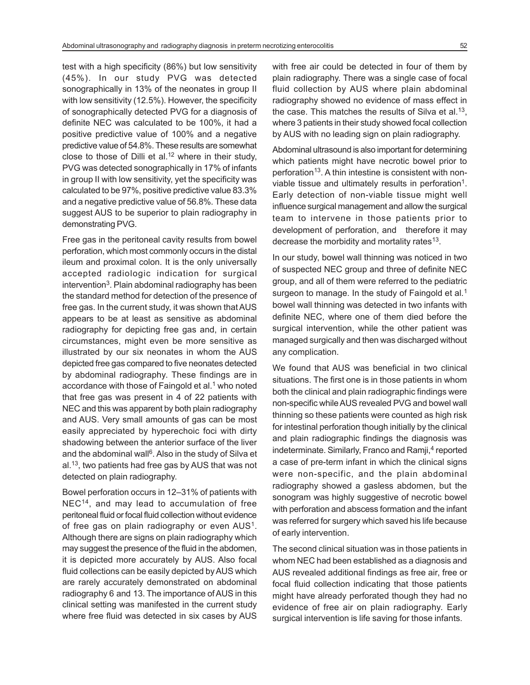test with a high specificity (86%) but low sensitivity (45%). In our study PVG was detected sonographically in 13% of the neonates in group II with low sensitivity (12.5%). However, the specificity of sonographically detected PVG for a diagnosis of definite NEC was calculated to be 100%, it had a positive predictive value of 100% and a negative predictive value of 54.8%. These results are somewhat close to those of Dilli et al.<sup>12</sup> where in their study, PVG was detected sonographically in 17% of infants in group II with low sensitivity, yet the specificity was calculated to be 97%, positive predictive value 83.3% and a negative predictive value of 56.8%. These data suggest AUS to be superior to plain radiography in demonstrating PVG.

Free gas in the peritoneal cavity results from bowel perforation, which most commonly occurs in the distal ileum and proximal colon. It is the only universally accepted radiologic indication for surgical intervention<sup>3</sup>. Plain abdominal radiography has been the standard method for detection of the presence of free gas. In the current study, it was shown that AUS appears to be at least as sensitive as abdominal radiography for depicting free gas and, in certain circumstances, might even be more sensitive as illustrated by our six neonates in whom the AUS depicted free gas compared to five neonates detected by abdominal radiography. These findings are in accordance with those of Faingold et al.<sup>1</sup> who noted that free gas was present in 4 of 22 patients with NEC and this was apparent by both plain radiography and AUS. Very small amounts of gas can be most easily appreciated by hyperechoic foci with dirty shadowing between the anterior surface of the liver and the abdominal wall<sup>6</sup>. Also in the study of Silva et al.<sup>13</sup>, two patients had free gas by AUS that was not detected on plain radiography.

Bowel perforation occurs in 12–31% of patients with NEC<sup>14</sup>, and may lead to accumulation of free peritoneal fluid or focal fluid collection without evidence of free gas on plain radiography or even  $AUS<sup>1</sup>$ . Although there are signs on plain radiography which may suggest the presence of the fluid in the abdomen, it is depicted more accurately by AUS. Also focal fluid collections can be easily depicted by AUS which are rarely accurately demonstrated on abdominal radiography 6 and 13. The importance of AUS in this clinical setting was manifested in the current study where free fluid was detected in six cases by AUS

with free air could be detected in four of them by plain radiography. There was a single case of focal fluid collection by AUS where plain abdominal radiography showed no evidence of mass effect in the case. This matches the results of Silva et al.<sup>13</sup>, where 3 patients in their study showed focal collection by AUS with no leading sign on plain radiography.

Abdominal ultrasound is also important for determining which patients might have necrotic bowel prior to perforation<sup>13</sup>. A thin intestine is consistent with nonviable tissue and ultimately results in perforation<sup>1</sup>. Early detection of non-viable tissue might well influence surgical management and allow the surgical team to intervene in those patients prior to development of perforation, and therefore it may decrease the morbidity and mortality rates $13$ .

In our study, bowel wall thinning was noticed in two of suspected NEC group and three of definite NEC group, and all of them were referred to the pediatric surgeon to manage. In the study of Faingold et al.<sup>1</sup> bowel wall thinning was detected in two infants with definite NEC, where one of them died before the surgical intervention, while the other patient was managed surgically and then was discharged without any complication.

We found that AUS was beneficial in two clinical situations. The first one is in those patients in whom both the clinical and plain radiographic findings were non-specific while AUS revealed PVG and bowel wall thinning so these patients were counted as high risk for intestinal perforation though initially by the clinical and plain radiographic findings the diagnosis was indeterminate. Similarly, Franco and Ramji,<sup>4</sup> reported a case of pre-term infant in which the clinical signs were non-specific, and the plain abdominal radiography showed a gasless abdomen, but the sonogram was highly suggestive of necrotic bowel with perforation and abscess formation and the infant was referred for surgery which saved his life because of early intervention.

The second clinical situation was in those patients in whom NEC had been established as a diagnosis and AUS revealed additional findings as free air, free or focal fluid collection indicating that those patients might have already perforated though they had no evidence of free air on plain radiography. Early surgical intervention is life saving for those infants.